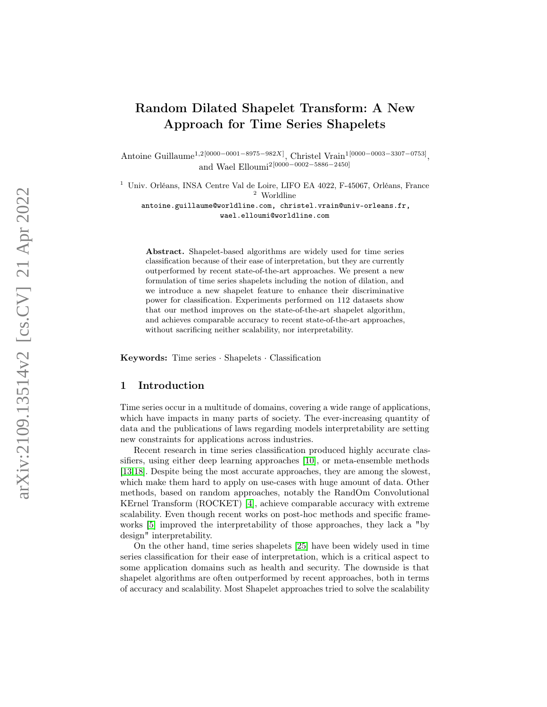# Random Dilated Shapelet Transform: A New Approach for Time Series Shapelets

Antoine Guillaume<sup>1,2[0000–0001–8975–982X]</sup>, Christel Vrain<sup>1[0000–0003–3307–0753]</sup>, and Wael Elloumi2[0000 −0002 −5886 −2450]

<sup>1</sup> Univ. Orléans, INSA Centre Val de Loire, LIFO EA 4022, F-45067, Orléans, France <sup>2</sup> Worldline

antoine.guillaume@worldline.com, christel.vrain@univ-orleans.fr, wael.elloumi@worldline.com

Abstract. Shapelet-based algorithms are widely used for time series classification because of their ease of interpretation, but they are currently outperformed by recent state-of-the-art approaches. We present a new formulation of time series shapelets including the notion of dilation, and we introduce a new shapelet feature to enhance their discriminative power for classification. Experiments performed on 112 datasets show that our method improves on the state-of-the-art shapelet algorithm, and achieves comparable accuracy to recent state-of-the-art approaches, without sacrificing neither scalability, nor interpretability.

Keywords: Time series · Shapelets · Classification

# 1 Introduction

Time series occur in a multitude of domains, covering a wide range of applications, which have impacts in many parts of society. The ever-increasing quantity of data and the publications of laws regarding models interpretability are setting new constraints for applications across industries.

Recent research in time series classification produced highly accurate classifiers, using either deep learning approaches [\[10\]](#page-10-0), or meta-ensemble methods [\[13](#page-11-0)[,18\]](#page-11-1). Despite being the most accurate approaches, they are among the slowest, which make them hard to apply on use-cases with huge amount of data. Other methods, based on random approaches, notably the RandOm Convolutional KErnel Transform (ROCKET) [ [4\]](#page-10-1), achieve comparable accuracy with extreme scalability. Even though recent works on post-hoc methods and specific frameworks [\[5\]](#page-10-2) improved the interpretability of those approaches, they lack a "by design" interpretability.

On the other hand, time series shapelets [\[25\]](#page-11-2) have been widely used in time series classification for their ease of interpretation, which is a critical aspect to some application domains such as health and security. The downside is that shapelet algorithms are often outperformed by recent approaches, both in terms of accuracy and scalability. Most Shapelet approaches tried to solve the scalability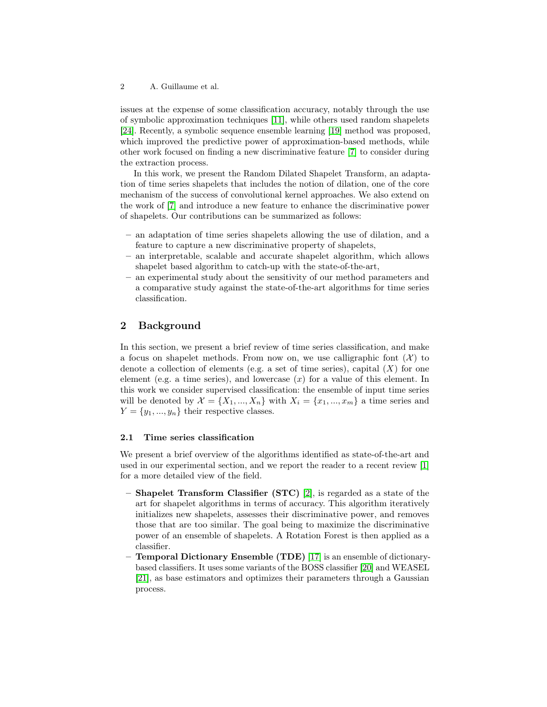issues at the expense of some classification accuracy, notably through the use of symbolic approximation techniques [\[11\]](#page-10-3), while others used random shapelets [\[24\]](#page-11-3). Recently, a symbolic sequence ensemble learning [\[19\]](#page-11-4) method was proposed, which improved the predictive power of approximation-based methods, while other work focused on finding a new discriminative feature [\[7\]](#page-10-4) to consider during the extraction process.

In this work, we present the Random Dilated Shapelet Transform, an adaptation of time series shapelets that includes the notion of dilation, one of the core mechanism of the success of convolutional kernel approaches. We also extend on the work of [\[7\]](#page-10-4) and introduce a new feature to enhance the discriminative power of shapelets. Our contributions can be summarized as follows:

- an adaptation of time series shapelets allowing the use of dilation, and a feature to capture a new discriminative property of shapelets,
- an interpretable, scalable and accurate shapelet algorithm, which allows shapelet based algorithm to catch-up with the state-of-the-art,
- an experimental study about the sensitivity of our method parameters and a comparative study against the state-of-the-art algorithms for time series classification.

# 2 Background

In this section, we present a brief review of time series classification, and make a focus on shapelet methods. From now on, we use calligraphic font  $(X)$  to denote a collection of elements (e.g. a set of time series), capital  $(X)$  for one element (e.g. a time series), and lowercase  $(x)$  for a value of this element. In this work we consider supervised classification: the ensemble of input time series will be denoted by  $\mathcal{X} = \{X_1, ..., X_n\}$  with  $X_i = \{x_1, ..., x_m\}$  a time series and  $Y = \{y_1, ..., y_n\}$  their respective classes.

#### 2.1 Time series classification

We present a brief overview of the algorithms identified as state-of-the-art and used in our experimental section, and we report the reader to a recent review [\[1\]](#page-10-5) for a more detailed view of the field.

- Shapelet Transform Classifier (STC) [\[2\]](#page-10-6), is regarded as a state of the art for shapelet algorithms in terms of accuracy. This algorithm iteratively initializes new shapelets, assesses their discriminative power, and removes those that are too similar. The goal being to maximize the discriminative power of an ensemble of shapelets. A Rotation Forest is then applied as a classifier.
- Temporal Dictionary Ensemble (TDE) [\[17\]](#page-11-5) is an ensemble of dictionarybased classifiers. It uses some variants of the BOSS classifier [\[20\]](#page-11-6) and WEASEL [\[21\]](#page-11-7), as base estimators and optimizes their parameters through a Gaussian process.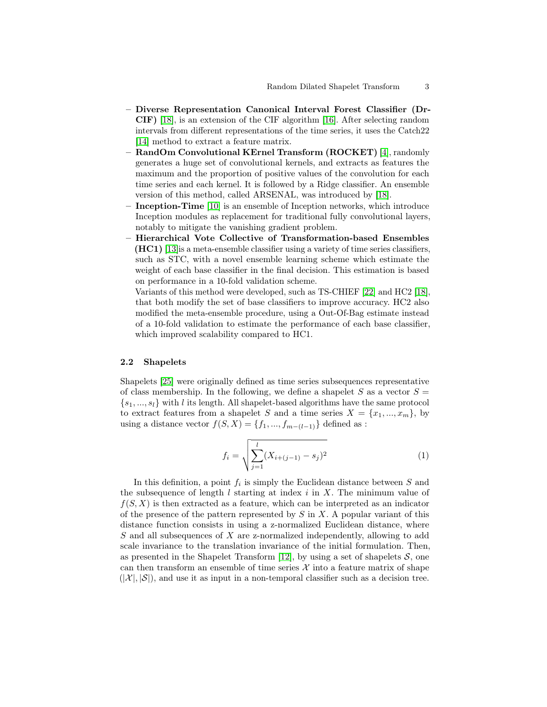- Diverse Representation Canonical Interval Forest Classifier (Dr-CIF) [\[18\]](#page-11-1), is an extension of the CIF algorithm [\[16\]](#page-11-8). After selecting random intervals from different representations of the time series, it uses the Catch22 [\[14\]](#page-11-9) method to extract a feature matrix.
- RandOm Convolutional KErnel Transform (ROCKET) [\[4\]](#page-10-1), randomly generates a huge set of convolutional kernels, and extracts as features the maximum and the proportion of positive values of the convolution for each time series and each kernel. It is followed by a Ridge classifier. An ensemble version of this method, called ARSENAL, was introduced by [\[18\]](#page-11-1).
- Inception-Time [\[10\]](#page-10-0) is an ensemble of Inception networks, which introduce Inception modules as replacement for traditional fully convolutional layers, notably to mitigate the vanishing gradient problem.
- Hierarchical Vote Collective of Transformation-based Ensembles (HC1) [\[13\]](#page-11-0)is a meta-ensemble classifier using a variety of time series classifiers, such as STC, with a novel ensemble learning scheme which estimate the weight of each base classifier in the final decision. This estimation is based on performance in a 10-fold validation scheme.

Variants of this method were developed, such as TS-CHIEF [\[22\]](#page-11-10) and HC2 [\[18\]](#page-11-1), that both modify the set of base classifiers to improve accuracy. HC2 also modified the meta-ensemble procedure, using a Out-Of-Bag estimate instead of a 10-fold validation to estimate the performance of each base classifier, which improved scalability compared to HC1.

#### 2.2 Shapelets

Shapelets [\[25\]](#page-11-2) were originally defined as time series subsequences representative of class membership. In the following, we define a shapelet  $S$  as a vector  $S =$  ${s_1, ..., s_l}$  with l its length. All shapelet-based algorithms have the same protocol to extract features from a shapelet S and a time series  $X = \{x_1, ..., x_m\}$ , by using a distance vector  $f(S, X) = \{f_1, ..., f_{m-(l-1)}\}\$ defined as :

$$
f_i = \sqrt{\sum_{j=1}^{l} (X_{i+(j-1)} - s_j)^2}
$$
 (1)

In this definition, a point  $f_i$  is simply the Euclidean distance between S and the subsequence of length  $l$  starting at index  $i$  in  $X$ . The minimum value of  $f(S, X)$  is then extracted as a feature, which can be interpreted as an indicator of the presence of the pattern represented by  $S$  in  $X$ . A popular variant of this distance function consists in using a z-normalized Euclidean distance, where S and all subsequences of X are z-normalized independently, allowing to add scale invariance to the translation invariance of the initial formulation. Then, as presented in the Shapelet Transform [\[12\]](#page-11-11), by using a set of shapelets  $S$ , one can then transform an ensemble of time series  $\mathcal X$  into a feature matrix of shape  $(|\mathcal{X}|, |\mathcal{S}|)$ , and use it as input in a non-temporal classifier such as a decision tree.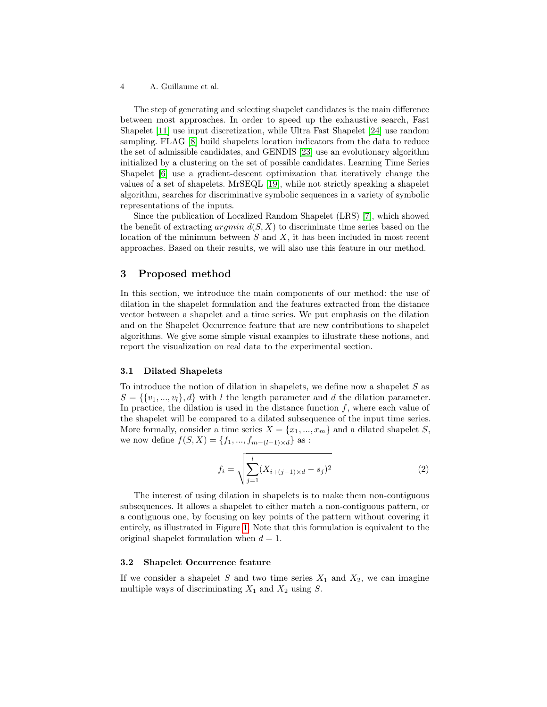The step of generating and selecting shapelet candidates is the main difference between most approaches. In order to speed up the exhaustive search, Fast Shapelet [\[11\]](#page-10-3) use input discretization, while Ultra Fast Shapelet [\[24\]](#page-11-3) use random sampling. FLAG [\[8\]](#page-10-7) build shapelets location indicators from the data to reduce the set of admissible candidates, and GENDIS [\[23\]](#page-11-12) use an evolutionary algorithm initialized by a clustering on the set of possible candidates. Learning Time Series Shapelet [\[6\]](#page-10-8) use a gradient-descent optimization that iteratively change the values of a set of shapelets. MrSEQL [\[19\]](#page-11-4), while not strictly speaking a shapelet algorithm, searches for discriminative symbolic sequences in a variety of symbolic representations of the inputs.

Since the publication of Localized Random Shapelet (LRS) [\[7\]](#page-10-4), which showed the benefit of extracting argmin  $d(S, X)$  to discriminate time series based on the location of the minimum between  $S$  and  $X$ , it has been included in most recent approaches. Based on their results, we will also use this feature in our method.

### 3 Proposed method

In this section, we introduce the main components of our method: the use of dilation in the shapelet formulation and the features extracted from the distance vector between a shapelet and a time series. We put emphasis on the dilation and on the Shapelet Occurrence feature that are new contributions to shapelet algorithms. We give some simple visual examples to illustrate these notions, and report the visualization on real data to the experimental section.

#### 3.1 Dilated Shapelets

To introduce the notion of dilation in shapelets, we define now a shapelet  $S$  as  $S = \{\{v_1, ..., v_l\}, d\}$  with l the length parameter and d the dilation parameter. In practice, the dilation is used in the distance function  $f$ , where each value of the shapelet will be compared to a dilated subsequence of the input time series. More formally, consider a time series  $X = \{x_1, ..., x_m\}$  and a dilated shapelet S, we now define  $f(S, X) = \{f_1, ..., f_{m-(l-1)\times d}\}\$ as :

$$
f_i = \sqrt{\sum_{j=1}^{l} (X_{i+(j-1)\times d} - s_j)^2}
$$
 (2)

The interest of using dilation in shapelets is to make them non-contiguous subsequences. It allows a shapelet to either match a non-contiguous pattern, or a contiguous one, by focusing on key points of the pattern without covering it entirely, as illustrated in Figure [1.](#page-4-0) Note that this formulation is equivalent to the original shapelet formulation when  $d = 1$ .

#### 3.2 Shapelet Occurrence feature

If we consider a shapelet S and two time series  $X_1$  and  $X_2$ , we can imagine multiple ways of discriminating  $X_1$  and  $X_2$  using  $S$ .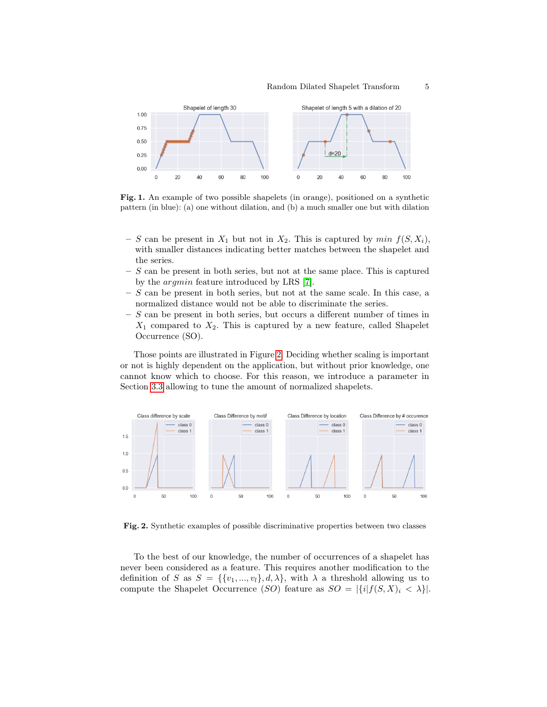

<span id="page-4-0"></span>Fig. 1. An example of two possible shapelets (in orange), positioned on a synthetic pattern (in blue): (a) one without dilation, and (b) a much smaller one but with dilation

- S can be present in  $X_1$  but not in  $X_2$ . This is captured by min  $f(S, X_i)$ , with smaller distances indicating better matches between the shapelet and the series.
- $S$  can be present in both series, but not at the same place. This is captured by the argmin feature introduced by LRS [\[7\]](#page-10-4).
- $S$  can be present in both series, but not at the same scale. In this case, a normalized distance would not be able to discriminate the series.
- $S$  can be present in both series, but occurs a different number of times in  $X_1$  compared to  $X_2$ . This is captured by a new feature, called Shapelet Occurrence (SO).

Those points are illustrated in Figure [2.](#page-4-1) Deciding whether scaling is important or not is highly dependent on the application, but without prior knowledge, one cannot know which to choose. For this reason, we introduce a parameter in Section [3.3](#page-5-0) allowing to tune the amount of normalized shapelets.



<span id="page-4-1"></span>Fig. 2. Synthetic examples of possible discriminative properties between two classes

To the best of our knowledge, the number of occurrences of a shapelet has never been considered as a feature. This requires another modification to the definition of S as  $S = \{\{v_1, ..., v_l\}, d, \lambda\}$ , with  $\lambda$  a threshold allowing us to compute the Shapelet Occurrence (SO) feature as  $SO = |\{i|f(S, X)_i < \lambda\}|$ .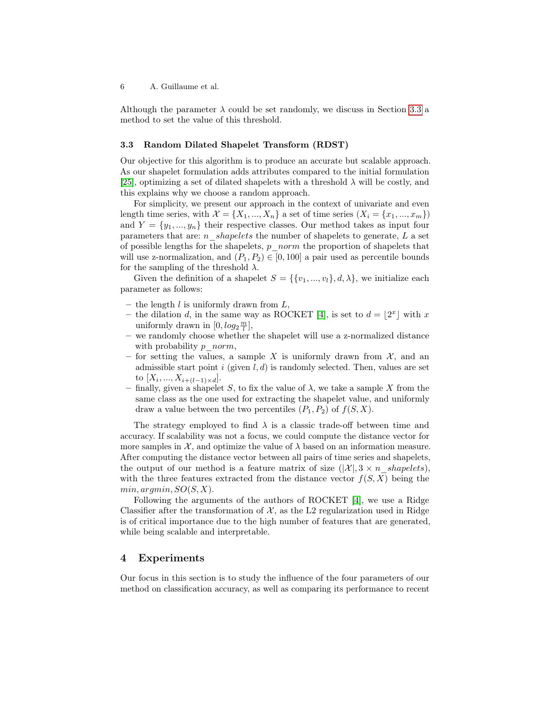Although the parameter  $\lambda$  could be set randomly, we discuss in Section [3.3](#page-5-0) a method to set the value of this threshold.

#### <span id="page-5-0"></span>3.3 Random Dilated Shapelet Transform (RDST)

Our objective for this algorithm is to produce an accurate but scalable approach. As our shapelet formulation adds attributes compared to the initial formulation [\[25\]](#page-11-2), optimizing a set of dilated shapelets with a threshold  $\lambda$  will be costly, and this explains why we choose a random approach.

For simplicity, we present our approach in the context of univariate and even length time series, with  $\mathcal{X} = \{X_1, ..., X_n\}$  a set of time series  $(X_i = \{x_1, ..., x_m\})$ and  $Y = \{y_1, ..., y_n\}$  their respective classes. Our method takes as input four parameters that are: n\_shapelets the number of shapelets to generate,  $L$  a set of possible lengths for the shapelets,  $p$  norm the proportion of shapelets that will use z-normalization, and  $(P_1, P_2) \in [0, 100]$  a pair used as percentile bounds for the sampling of the threshold  $\lambda$ .

Given the definition of a shapelet  $S = \{\{v_1, ..., v_l\}, d, \lambda\}$ , we initialize each parameter as follows:

- the length  $l$  is uniformly drawn from  $L$ ,
- the dilation d, in the same way as ROCKET [\[4\]](#page-10-1), is set to  $d = |2^x|$  with x uniformly drawn in  $[0, \log_2 \frac{m}{l}],$
- we randomly choose whether the shapelet will use a z-normalized distance with probability  $p$  norm,
- for setting the values, a sample X is uniformly drawn from  $\mathcal{X}$ , and an admissible start point i (given  $l, d$ ) is randomly selected. Then, values are set to  $[X_i, ..., X_{i+(l-1)\times d}].$
- finally, given a shapelet S, to fix the value of  $\lambda$ , we take a sample X from the same class as the one used for extracting the shapelet value, and uniformly draw a value between the two percentiles  $(P_1, P_2)$  of  $f(S, X)$ .

The strategy employed to find  $\lambda$  is a classic trade-off between time and accuracy. If scalability was not a focus, we could compute the distance vector for more samples in  $\mathcal{X}$ , and optimize the value of  $\lambda$  based on an information measure. After computing the distance vector between all pairs of time series and shapelets, the output of our method is a feature matrix of size  $(|\mathcal{X}|, 3 \times n$  shapelets), with the three features extracted from the distance vector  $f(S, X)$  being the  $min, argmin, SO(S, X).$ 

Following the arguments of the authors of ROCKET [\[4\]](#page-10-1), we use a Ridge Classifier after the transformation of  $\mathcal{X}$ , as the L2 regularization used in Ridge is of critical importance due to the high number of features that are generated, while being scalable and interpretable.

### 4 Experiments

Our focus in this section is to study the influence of the four parameters of our method on classification accuracy, as well as comparing its performance to recent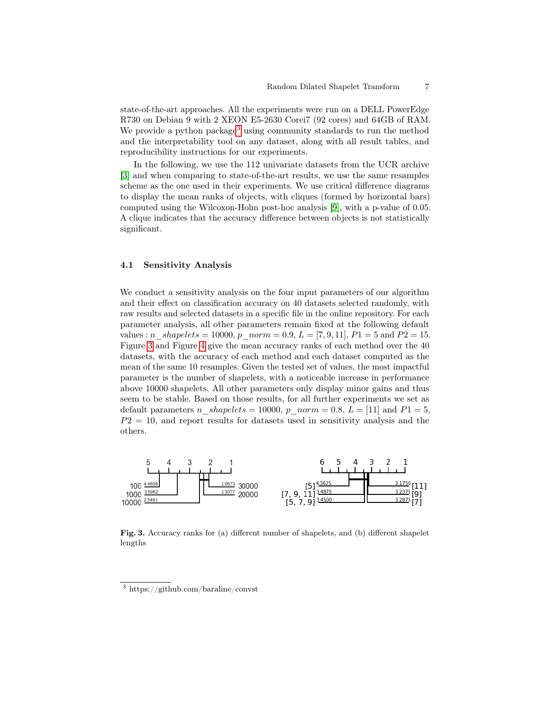state-of-the-art approaches. All the experiments were run on a DELL PowerEdge R730 on Debian 9 with 2 XEON E5-2630 Corei7 (92 cores) and 64GB of RAM. We provide a python package<sup>[3](#page-6-0)</sup> using community standards to run the method and the interpretability tool on any dataset, along with all result tables, and reproducibility instructions for our experiments.

In the following, we use the 112 univariate datasets from the UCR archive [\[3\]](#page-10-9) and when comparing to state-of-the-art results, we use the same resamples scheme as the one used in their experiments. We use critical difference diagrams to display the mean ranks of objects, with cliques (formed by horizontal bars) computed using the Wilcoxon-Holm post-hoc analysis [\[9\]](#page-10-10), with a p-value of 0.05. A clique indicates that the accuracy difference between objects is not statistically significant.

#### 4.1 Sensitivity Analysis

We conduct a sensitivity analysis on the four input parameters of our algorithm and their effect on classification accuracy on 40 datasets selected randomly, with raw results and selected datasets in a specific file in the online repository. For each parameter analysis, all other parameters remain fixed at the following default values : n\_shapelets = 10000, p\_norm = 0.9, L = [7, 9, 11], P1 = 5 and P2 = 15. Figure [3](#page-6-1) and Figure [4](#page-7-0) give the mean accuracy ranks of each method over the 40 datasets, with the accuracy of each method and each dataset computed as the mean of the same 10 resamples. Given the tested set of values, the most impactful parameter is the number of shapelets, with a noticeable increase in performance above 10000 shapelets. All other parameters only display minor gains and thus seem to be stable. Based on those results, for all further experiments we set as default parameters n shapelets = 10000, p\_norm = 0.8, L = [11] and P1 = 5,  $P2 = 10$ , and report results for datasets used in sensitivity analysis and the others.



<span id="page-6-1"></span>Fig. 3. Accuracy ranks for (a) different number of shapelets, and (b) different shapelet lengths

<span id="page-6-0"></span><sup>3</sup> https://github.com/baraline/convst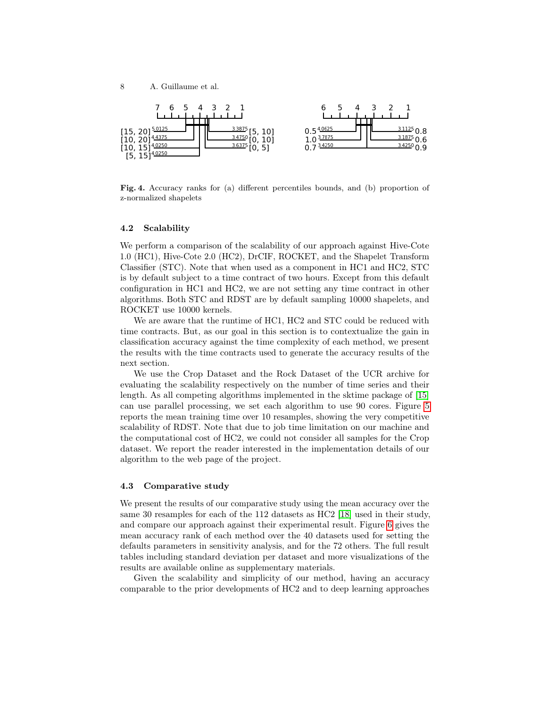

<span id="page-7-0"></span>Fig. 4. Accuracy ranks for (a) different percentiles bounds, and (b) proportion of z-normalized shapelets

#### 4.2 Scalability

We perform a comparison of the scalability of our approach against Hive-Cote 1.0 (HC1), Hive-Cote 2.0 (HC2), DrCIF, ROCKET, and the Shapelet Transform Classifier (STC). Note that when used as a component in HC1 and HC2, STC is by default subject to a time contract of two hours. Except from this default configuration in HC1 and HC2, we are not setting any time contract in other algorithms. Both STC and RDST are by default sampling 10000 shapelets, and ROCKET use 10000 kernels.

We are aware that the runtime of HC1, HC2 and STC could be reduced with time contracts. But, as our goal in this section is to contextualize the gain in classification accuracy against the time complexity of each method, we present the results with the time contracts used to generate the accuracy results of the next section.

We use the Crop Dataset and the Rock Dataset of the UCR archive for evaluating the scalability respectively on the number of time series and their length. As all competing algorithms implemented in the sktime package of [\[15\]](#page-11-13) can use parallel processing, we set each algorithm to use 90 cores. Figure [5](#page-8-0) reports the mean training time over 10 resamples, showing the very competitive scalability of RDST. Note that due to job time limitation on our machine and the computational cost of HC2, we could not consider all samples for the Crop dataset. We report the reader interested in the implementation details of our algorithm to the web page of the project.

#### 4.3 Comparative study

We present the results of our comparative study using the mean accuracy over the same 30 resamples for each of the 112 datasets as HC2 [\[18\]](#page-11-1) used in their study, and compare our approach against their experimental result. Figure [6](#page-8-1) gives the mean accuracy rank of each method over the 40 datasets used for setting the defaults parameters in sensitivity analysis, and for the 72 others. The full result tables including standard deviation per dataset and more visualizations of the results are available online as supplementary materials.

Given the scalability and simplicity of our method, having an accuracy comparable to the prior developments of HC2 and to deep learning approaches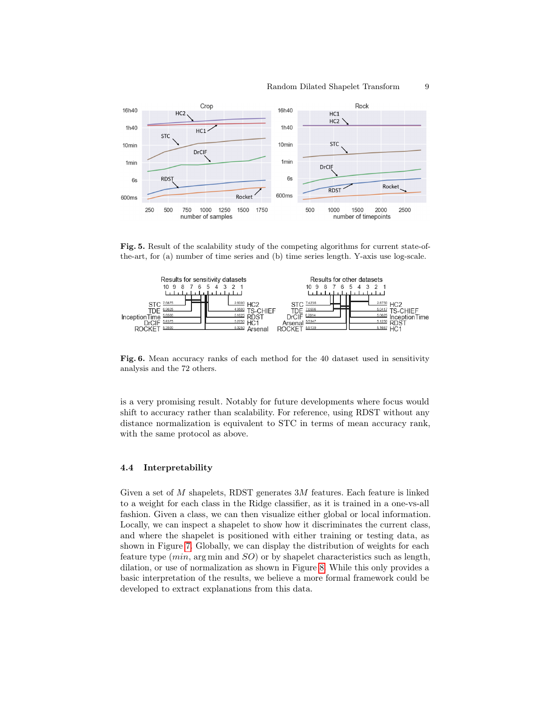

<span id="page-8-0"></span>Fig. 5. Result of the scalability study of the competing algorithms for current state-ofthe-art, for (a) number of time series and (b) time series length. Y-axis use log-scale.



<span id="page-8-1"></span>Fig. 6. Mean accuracy ranks of each method for the 40 dataset used in sensitivity analysis and the 72 others.

is a very promising result. Notably for future developments where focus would shift to accuracy rather than scalability. For reference, using RDST without any distance normalization is equivalent to STC in terms of mean accuracy rank, with the same protocol as above.

#### 4.4 Interpretability

Given a set of  $M$  shapelets, RDST generates  $3M$  features. Each feature is linked to a weight for each class in the Ridge classifier, as it is trained in a one-vs-all fashion. Given a class, we can then visualize either global or local information. Locally, we can inspect a shapelet to show how it discriminates the current class, and where the shapelet is positioned with either training or testing data, as shown in Figure [7.](#page-9-0) Globally, we can display the distribution of weights for each feature type  $(min, arg min and SO)$  or by shapelet characteristics such as length, dilation, or use of normalization as shown in Figure [8.](#page-9-1) While this only provides a basic interpretation of the results, we believe a more formal framework could be developed to extract explanations from this data.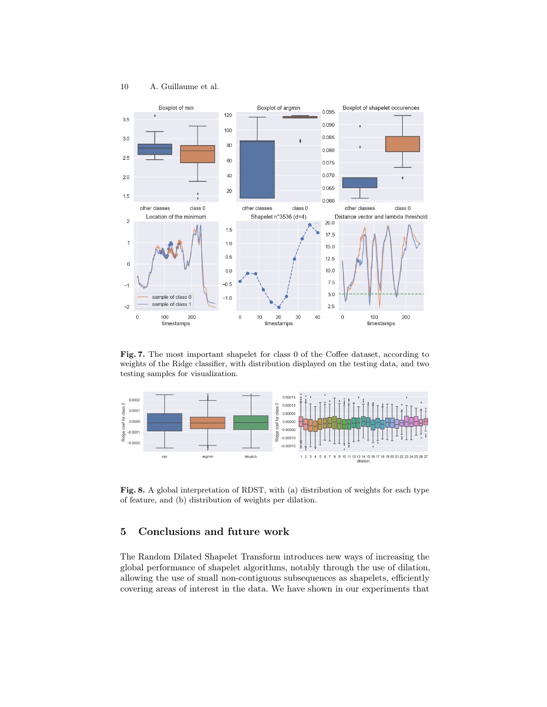

<span id="page-9-0"></span>Fig. 7. The most important shapelet for class 0 of the Coffee dataset, according to weights of the Ridge classifier, with distribution displayed on the testing data, and two testing samples for visualization.



<span id="page-9-1"></span>Fig. 8. A global interpretation of RDST, with (a) distribution of weights for each type of feature, and (b) distribution of weights per dilation.

# 5 Conclusions and future work

The Random Dilated Shapelet Transform introduces new ways of increasing the global performance of shapelet algorithms, notably through the use of dilation, allowing the use of small non-contiguous subsequences as shapelets, efficiently covering areas of interest in the data. We have shown in our experiments that

10 A. Guillaume et al.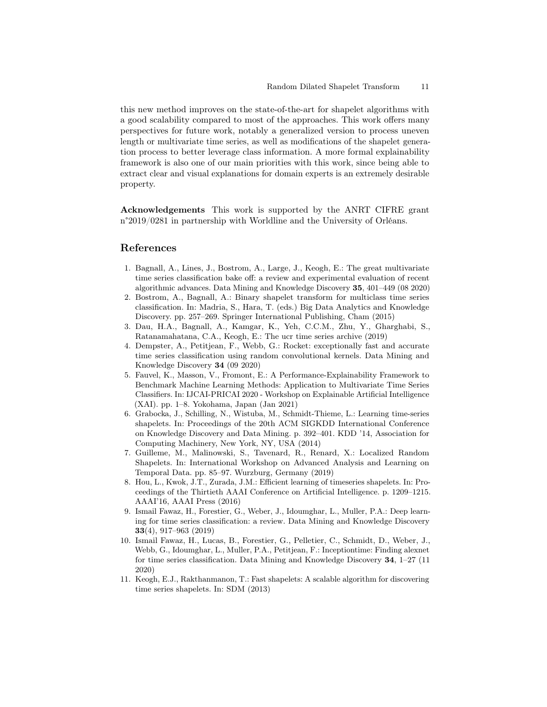this new method improves on the state-of-the-art for shapelet algorithms with a good scalability compared to most of the approaches. This work offers many perspectives for future work, notably a generalized version to process uneven length or multivariate time series, as well as modifications of the shapelet generation process to better leverage class information. A more formal explainability framework is also one of our main priorities with this work, since being able to extract clear and visual explanations for domain experts is an extremely desirable property.

Acknowledgements This work is supported by the ANRT CIFRE grant n°2019/0281 in partnership with Worldline and the University of Orléans.

# References

- <span id="page-10-5"></span>1. Bagnall, A., Lines, J., Bostrom, A., Large, J., Keogh, E.: The great multivariate time series classification bake off: a review and experimental evaluation of recent algorithmic advances. Data Mining and Knowledge Discovery 35, 401–449 (08 2020)
- <span id="page-10-6"></span>2. Bostrom, A., Bagnall, A.: Binary shapelet transform for multiclass time series classification. In: Madria, S., Hara, T. (eds.) Big Data Analytics and Knowledge Discovery. pp. 257–269. Springer International Publishing, Cham (2015)
- <span id="page-10-9"></span>3. Dau, H.A., Bagnall, A., Kamgar, K., Yeh, C.C.M., Zhu, Y., Gharghabi, S., Ratanamahatana, C.A., Keogh, E.: The ucr time series archive (2019)
- <span id="page-10-1"></span>4. Dempster, A., Petitjean, F., Webb, G.: Rocket: exceptionally fast and accurate time series classification using random convolutional kernels. Data Mining and Knowledge Discovery 34 (09 2020)
- <span id="page-10-2"></span>5. Fauvel, K., Masson, V., Fromont, E.: A Performance-Explainability Framework to Benchmark Machine Learning Methods: Application to Multivariate Time Series Classifiers. In: IJCAI-PRICAI 2020 - Workshop on Explainable Artificial Intelligence (XAI). pp. 1–8. Yokohama, Japan (Jan 2021)
- <span id="page-10-8"></span>6. Grabocka, J., Schilling, N., Wistuba, M., Schmidt-Thieme, L.: Learning time-series shapelets. In: Proceedings of the 20th ACM SIGKDD International Conference on Knowledge Discovery and Data Mining. p. 392–401. KDD '14, Association for Computing Machinery, New York, NY, USA (2014)
- <span id="page-10-4"></span>7. Guilleme, M., Malinowski, S., Tavenard, R., Renard, X.: Localized Random Shapelets. In: International Workshop on Advanced Analysis and Learning on Temporal Data. pp. 85–97. Wurzburg, Germany (2019)
- <span id="page-10-7"></span>8. Hou, L., Kwok, J.T., Zurada, J.M.: Efficient learning of timeseries shapelets. In: Proceedings of the Thirtieth AAAI Conference on Artificial Intelligence. p. 1209–1215. AAAI'16, AAAI Press (2016)
- <span id="page-10-10"></span>9. Ismail Fawaz, H., Forestier, G., Weber, J., Idoumghar, L., Muller, P.A.: Deep learning for time series classification: a review. Data Mining and Knowledge Discovery 33(4), 917–963 (2019)
- <span id="page-10-0"></span>10. Ismail Fawaz, H., Lucas, B., Forestier, G., Pelletier, C., Schmidt, D., Weber, J., Webb, G., Idoumghar, L., Muller, P.A., Petitjean, F.: Inceptiontime: Finding alexnet for time series classification. Data Mining and Knowledge Discovery 34, 1–27 (11 2020)
- <span id="page-10-3"></span>11. Keogh, E.J., Rakthanmanon, T.: Fast shapelets: A scalable algorithm for discovering time series shapelets. In: SDM (2013)